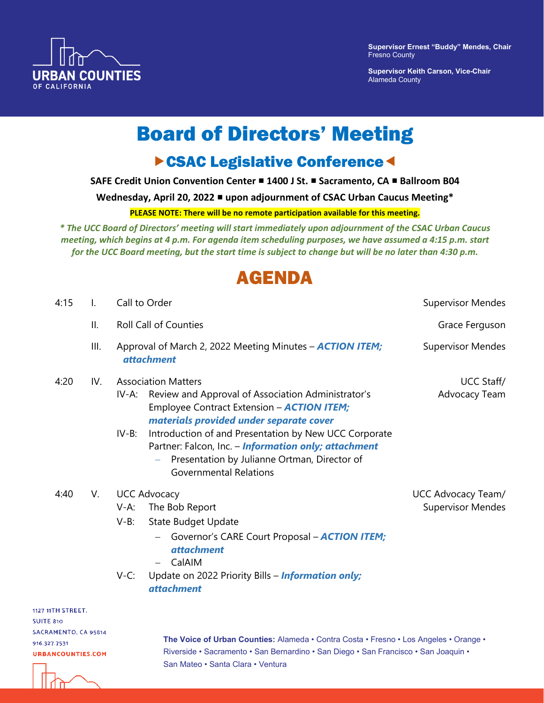

**Supervisor Ernest "Buddy" Mendes, Chair** Fresno County

**Supervisor Keith Carson, Vice-Chair**  Alameda County

# Board of Directors' Meeting

### **CSAC Legislative Conference**

**SAFE Credit Union Convention Center ■ 1400 J St. ■ Sacramento, CA ■ Ballroom B04** 

**Wednesday, April 20, 2022 upon adjournment of CSAC Urban Caucus Meeting\*** 

**PLEASE NOTE: There will be no remote participation available for this meeting.**

*\* The UCC Board of Directors' meeting will start immediately upon adjournment of the CSAC Urban Caucus meeting, which begins at 4 p.m. For agenda item scheduling purposes, we have assumed a 4:15 p.m. start for the UCC Board meeting, but the start time is subject to change but will be no later than 4:30 p.m.* 

## AGENDA

| 4:15                | $\mathsf{L}$ | Call to Order                                                                                                                                                                                                                                                                                                                                                                                            | <b>Supervisor Mendes</b>                       |
|---------------------|--------------|----------------------------------------------------------------------------------------------------------------------------------------------------------------------------------------------------------------------------------------------------------------------------------------------------------------------------------------------------------------------------------------------------------|------------------------------------------------|
|                     | II.          | <b>Roll Call of Counties</b>                                                                                                                                                                                                                                                                                                                                                                             | Grace Ferguson                                 |
|                     | III.         | Approval of March 2, 2022 Meeting Minutes - <b>ACTION ITEM;</b><br><i>attachment</i>                                                                                                                                                                                                                                                                                                                     | <b>Supervisor Mendes</b>                       |
| 4:20                | IV.          | <b>Association Matters</b><br>Review and Approval of Association Administrator's<br>IV-A:<br>Employee Contract Extension - <b>ACTION ITEM</b> ;<br>materials provided under separate cover<br>Introduction of and Presentation by New UCC Corporate<br>$IV-B$ :<br>Partner: Falcon, Inc. - Information only; attachment<br>Presentation by Julianne Ortman, Director of<br><b>Governmental Relations</b> | UCC Staff/<br>Advocacy Team                    |
| 4:40                | V.           | <b>UCC Advocacy</b><br>The Bob Report<br>$V-A$ :<br><b>State Budget Update</b><br>$V-B$ :<br>Governor's CARE Court Proposal - <b>ACTION ITEM;</b><br>$-$<br><i>attachment</i><br>CalAIM<br>$-$<br>Update on 2022 Priority Bills - Information only;<br>$V-C$ :<br><i>attachment</i>                                                                                                                      | UCC Advocacy Team/<br><b>Supervisor Mendes</b> |
| <b>I1TH STREET.</b> |              |                                                                                                                                                                                                                                                                                                                                                                                                          |                                                |

1127 **SUITE 810** SACRAMENTO, CA 95814 916 327 7531 **URBANCOUNTIES.COM** 

**The Voice of Urban Counties:** Alameda • Contra Costa • Fresno • Los Angeles • Orange • Riverside • Sacramento • San Bernardino • San Diego • San Francisco • San Joaquin • San Mateo • Santa Clara • Ventura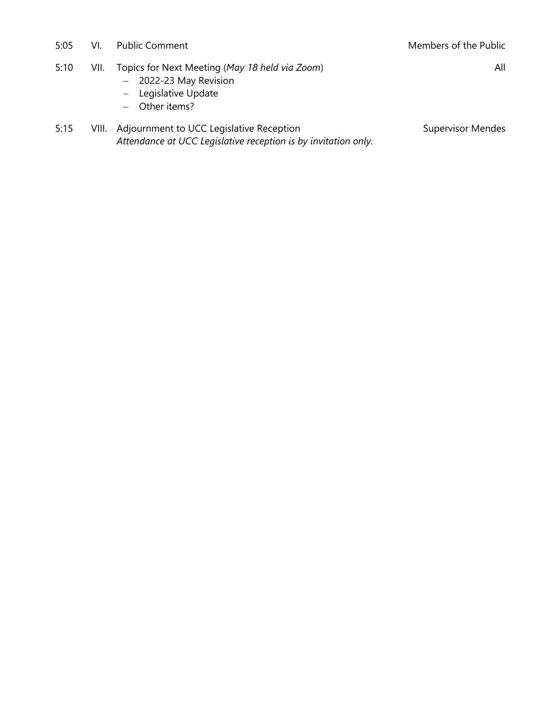5:05 VI. Public Comment Members of the Public South Art Members of the Public

All

- 5:10 VII. Topics for Next Meeting (*May 18 held via Zoom*)
	- − 2022-23 May Revision
	- − Legislative Update
	- − Other items?
- 5:15 VIII. Adjournment to UCC Legislative Reception *Attendance at UCC Legislative reception is by invitation only.*

Supervisor Mendes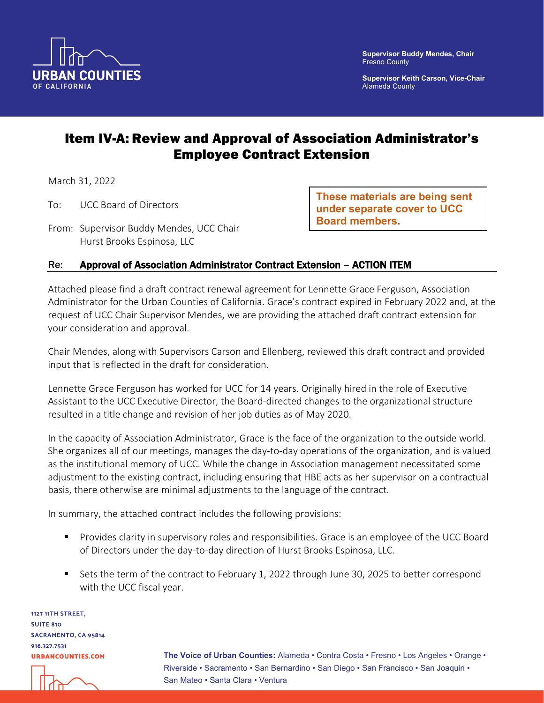

**Supervisor Keith Carson, Vice-Chair** Alameda County

### Item IV-A: Review and Approval of Association Administrator's Employee Contract Extension

March 31, 2022

- To: UCC Board of Directors
- From: Supervisor Buddy Mendes, UCC Chair Hurst Brooks Espinosa, LLC

**These materials are being sent under separate cover to UCC Board members.**

### Re: Approval of Association Administrator Contract Extension – ACTION ITEM

Attached please find a draft contract renewal agreement for Lennette Grace Ferguson, Association Administrator for the Urban Counties of California. Grace's contract expired in February 2022 and, at the request of UCC Chair Supervisor Mendes, we are providing the attached draft contract extension for your consideration and approval.

Chair Mendes, along with Supervisors Carson and Ellenberg, reviewed this draft contract and provided input that is reflected in the draft for consideration.

Lennette Grace Ferguson has worked for UCC for 14 years. Originally hired in the role of Executive Assistant to the UCC Executive Director, the Board-directed changes to the organizational structure resulted in a title change and revision of her job duties as of May 2020.

In the capacity of Association Administrator, Grace is the face of the organization to the outside world. She organizes all of our meetings, manages the day-to-day operations of the organization, and is valued as the institutional memory of UCC. While the change in Association management necessitated some adjustment to the existing contract, including ensuring that HBE acts as her supervisor on a contractual basis, there otherwise are minimal adjustments to the language of the contract.

In summary, the attached contract includes the following provisions:

- **Provides clarity in supervisory roles and responsibilities. Grace is an employee of the UCC Board** of Directors under the day-to-day direction of Hurst Brooks Espinosa, LLC.
- Sets the term of the contract to February 1, 2022 through June 30, 2025 to better correspond with the UCC fiscal year.

1127 11TH STREET, **SUITE 810** SACRAMENTO, CA 95814 916.327.7531 **URBANCOUNTIES.COM** 

**The Voice of Urban Counties:** Alameda • Contra Costa • Fresno • Los Angeles • Orange • Riverside • Sacramento • San Bernardino • San Diego • San Francisco • San Joaquin • San Mateo • Santa Clara • Ventura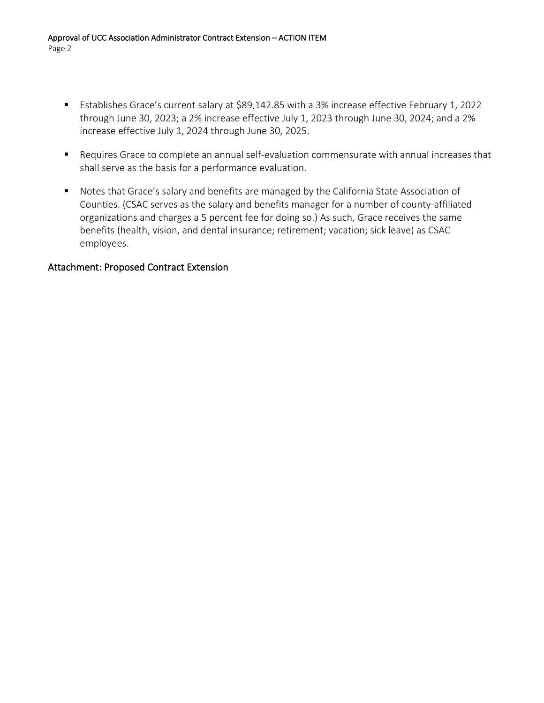- Establishes Grace's current salary at \$89,142.85 with a 3% increase effective February 1, 2022 through June 30, 2023; a 2% increase effective July 1, 2023 through June 30, 2024; and a 2% increase effective July 1, 2024 through June 30, 2025.
- Requires Grace to complete an annual self-evaluation commensurate with annual increases that shall serve as the basis for a performance evaluation.
- Notes that Grace's salary and benefits are managed by the California State Association of Counties. (CSAC serves as the salary and benefits manager for a number of county-affiliated organizations and charges a 5 percent fee for doing so.) As such, Grace receives the same benefits (health, vision, and dental insurance; retirement; vacation; sick leave) as CSAC employees.

### Attachment: Proposed Contract Extension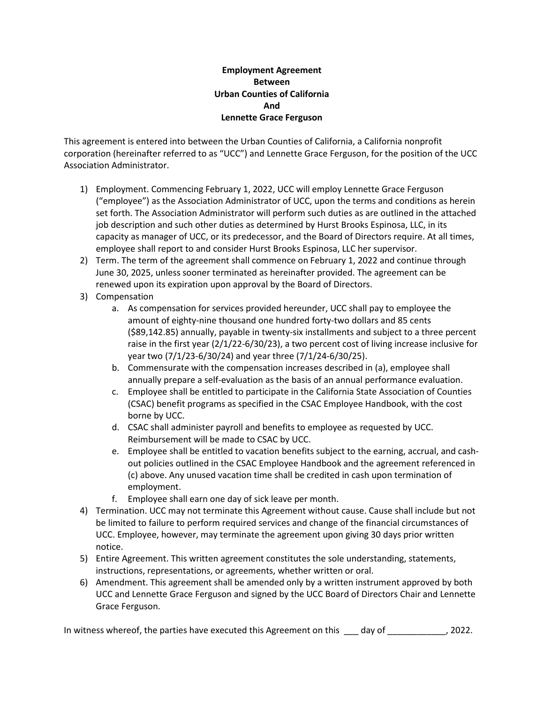#### **Employment Agreement Between Urban Counties of California And Lennette Grace Ferguson**

This agreement is entered into between the Urban Counties of California, a California nonprofit corporation (hereinafter referred to as "UCC") and Lennette Grace Ferguson, for the position of the UCC Association Administrator.

- 1) Employment. Commencing February 1, 2022, UCC will employ Lennette Grace Ferguson ("employee") as the Association Administrator of UCC, upon the terms and conditions as herein set forth. The Association Administrator will perform such duties as are outlined in the attached job description and such other duties as determined by Hurst Brooks Espinosa, LLC, in its capacity as manager of UCC, or its predecessor, and the Board of Directors require. At all times, employee shall report to and consider Hurst Brooks Espinosa, LLC her supervisor.
- 2) Term. The term of the agreement shall commence on February 1, 2022 and continue through June 30, 2025, unless sooner terminated as hereinafter provided. The agreement can be renewed upon its expiration upon approval by the Board of Directors.
- 3) Compensation
	- a. As compensation for services provided hereunder, UCC shall pay to employee the amount of eighty-nine thousand one hundred forty-two dollars and 85 cents (\$89,142.85) annually, payable in twenty-six installments and subject to a three percent raise in the first year (2/1/22-6/30/23), a two percent cost of living increase inclusive for year two (7/1/23-6/30/24) and year three (7/1/24-6/30/25).
	- b. Commensurate with the compensation increases described in (a), employee shall annually prepare a self-evaluation as the basis of an annual performance evaluation.
	- c. Employee shall be entitled to participate in the California State Association of Counties (CSAC) benefit programs as specified in the CSAC Employee Handbook, with the cost borne by UCC.
	- d. CSAC shall administer payroll and benefits to employee as requested by UCC. Reimbursement will be made to CSAC by UCC.
	- e. Employee shall be entitled to vacation benefits subject to the earning, accrual, and cashout policies outlined in the CSAC Employee Handbook and the agreement referenced in (c) above. Any unused vacation time shall be credited in cash upon termination of employment.
	- f. Employee shall earn one day of sick leave per month.
- 4) Termination. UCC may not terminate this Agreement without cause. Cause shall include but not be limited to failure to perform required services and change of the financial circumstances of UCC. Employee, however, may terminate the agreement upon giving 30 days prior written notice.
- 5) Entire Agreement. This written agreement constitutes the sole understanding, statements, instructions, representations, or agreements, whether written or oral.
- 6) Amendment. This agreement shall be amended only by a written instrument approved by both UCC and Lennette Grace Ferguson and signed by the UCC Board of Directors Chair and Lennette Grace Ferguson.

In witness whereof, the parties have executed this Agreement on this \_\_\_ day of \_\_\_\_\_\_\_\_\_\_\_\_, 2022.